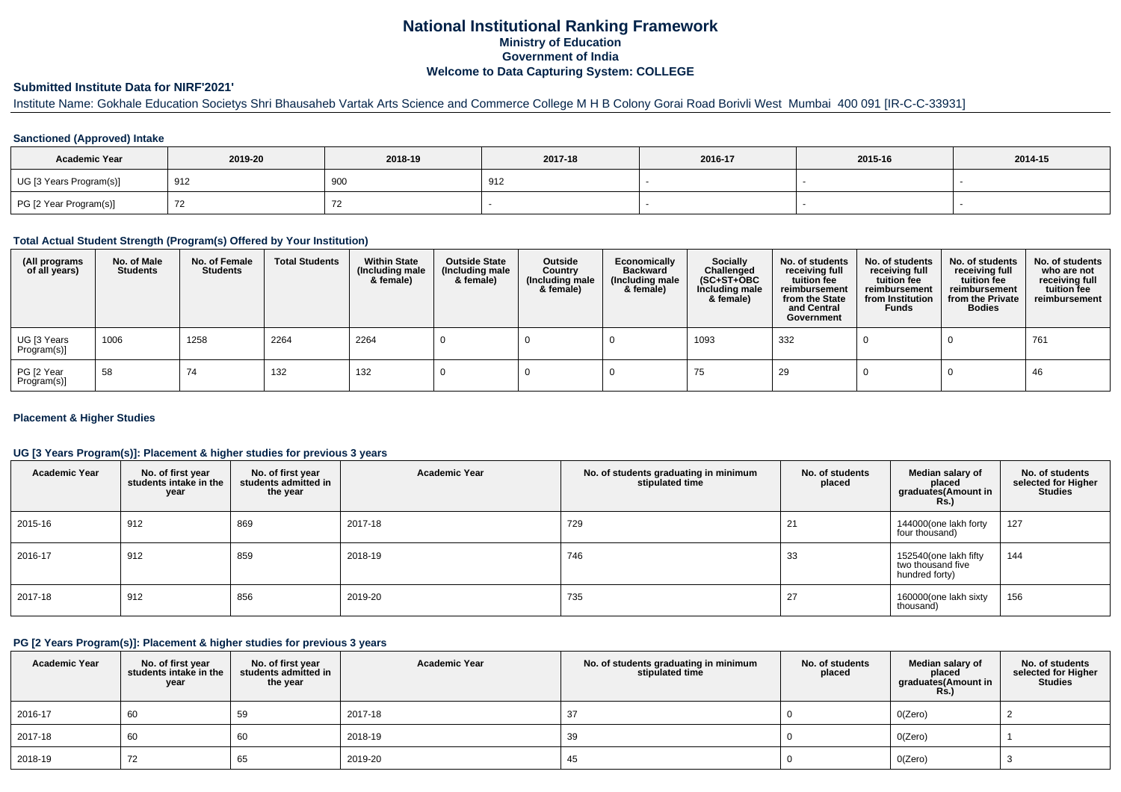# **National Institutional Ranking FrameworkMinistry of Education Government of IndiaWelcome to Data Capturing System: COLLEGE**

# **Submitted Institute Data for NIRF'2021'**

Institute Name: Gokhale Education Societys Shri Bhausaheb Vartak Arts Science and Commerce College M H B Colony Gorai Road Borivli West Mumbai 400 091 [IR-C-C-33931]

## **Sanctioned (Approved) Intake**

| <b>Academic Year</b>    | 2019-20 | 2018-19 | 2017-18 | 2016-17 | 2015-16 | 2014-15 |
|-------------------------|---------|---------|---------|---------|---------|---------|
| UG [3 Years Program(s)] | 912     | 900     | 912     |         |         |         |
| PG [2 Year Program(s)]  |         | 74      |         |         |         |         |

### **Total Actual Student Strength (Program(s) Offered by Your Institution)**

| (All programs<br>of all years) | No. of Male<br><b>Students</b> | No. of Female<br>Students | <b>Total Students</b> | <b>Within State</b><br>(Including male<br>& female) | <b>Outside State</b><br>(Including male<br>& female) | Outside<br>Country<br>(Including male<br>& female) | Economically<br><b>Backward</b><br>(Including male<br>& female) | <b>Socially</b><br>Challenged<br>$(SC+ST+OBC)$<br>Including male<br>& female) | No. of students<br>receiving full<br>tuition fee<br>reimbursement<br>from the State<br>and Central<br>Government | No. of students<br>receiving full<br>tuition fee<br>reimbursement<br>from Institution<br><b>Funds</b> | No. of students<br>receiving full<br>tuition fee<br>reimbursement<br>from the Private<br><b>Bodies</b> | No. of students<br>who are not<br>receiving full<br>tuition fee<br>reimbursement |
|--------------------------------|--------------------------------|---------------------------|-----------------------|-----------------------------------------------------|------------------------------------------------------|----------------------------------------------------|-----------------------------------------------------------------|-------------------------------------------------------------------------------|------------------------------------------------------------------------------------------------------------------|-------------------------------------------------------------------------------------------------------|--------------------------------------------------------------------------------------------------------|----------------------------------------------------------------------------------|
| UG [3 Years<br>Program(s)]     | 1006                           | 1258                      | 2264                  | 2264                                                |                                                      |                                                    |                                                                 | 1093                                                                          | 332                                                                                                              |                                                                                                       |                                                                                                        | 761                                                                              |
| PG [2 Year<br>Program(s)]      | 58                             | 74                        | 132                   | 132                                                 |                                                      |                                                    |                                                                 | 75                                                                            | 29                                                                                                               |                                                                                                       |                                                                                                        | 46                                                                               |

## **Placement & Higher Studies**

## **UG [3 Years Program(s)]: Placement & higher studies for previous 3 years**

| <b>Academic Year</b> | No. of first year<br>students intake in the<br>year | No. of first year<br>students admitted in<br>the year | <b>Academic Year</b> | No. of students graduating in minimum<br>stipulated time | No. of students<br>placed | Median salary of<br>placed<br>graduates(Amount in<br>Rs.     | No. of students<br>selected for Higher<br><b>Studies</b> |
|----------------------|-----------------------------------------------------|-------------------------------------------------------|----------------------|----------------------------------------------------------|---------------------------|--------------------------------------------------------------|----------------------------------------------------------|
| 2015-16              | 912                                                 | 869                                                   | 2017-18              | 729                                                      | 21                        | 144000(one lakh forty<br>four thousand)                      | 127                                                      |
| 2016-17              | 912                                                 | 859                                                   | 2018-19              | 746                                                      | 33                        | 152540(one lakh fifty<br>two thousand five<br>hundred forty) | 144                                                      |
| 2017-18              | 912                                                 | 856                                                   | 2019-20              | 735                                                      | 27                        | 160000(one lakh sixty<br>thousand)                           | 156                                                      |

### **PG [2 Years Program(s)]: Placement & higher studies for previous 3 years**

| <b>Academic Year</b> | No. of first year<br>students intake in the<br>year | No. of first year<br>students admitted in<br>the year | <b>Academic Year</b> | No. of students graduating in minimum<br>stipulated time | No. of students<br>placed | Median salary of<br>placed<br>graduates(Amount in<br>Rs. | No. of students<br>selected for Higher<br><b>Studies</b> |
|----------------------|-----------------------------------------------------|-------------------------------------------------------|----------------------|----------------------------------------------------------|---------------------------|----------------------------------------------------------|----------------------------------------------------------|
| 2016-17              | 60                                                  | 59                                                    | 2017-18              |                                                          |                           | O(Zero)                                                  |                                                          |
| 2017-18              | 60                                                  | 60                                                    | 2018-19              | 39                                                       |                           | O(Zero)                                                  |                                                          |
| 2018-19              | 72                                                  | 65                                                    | 2019-20              | 45                                                       |                           | O(Zero)                                                  |                                                          |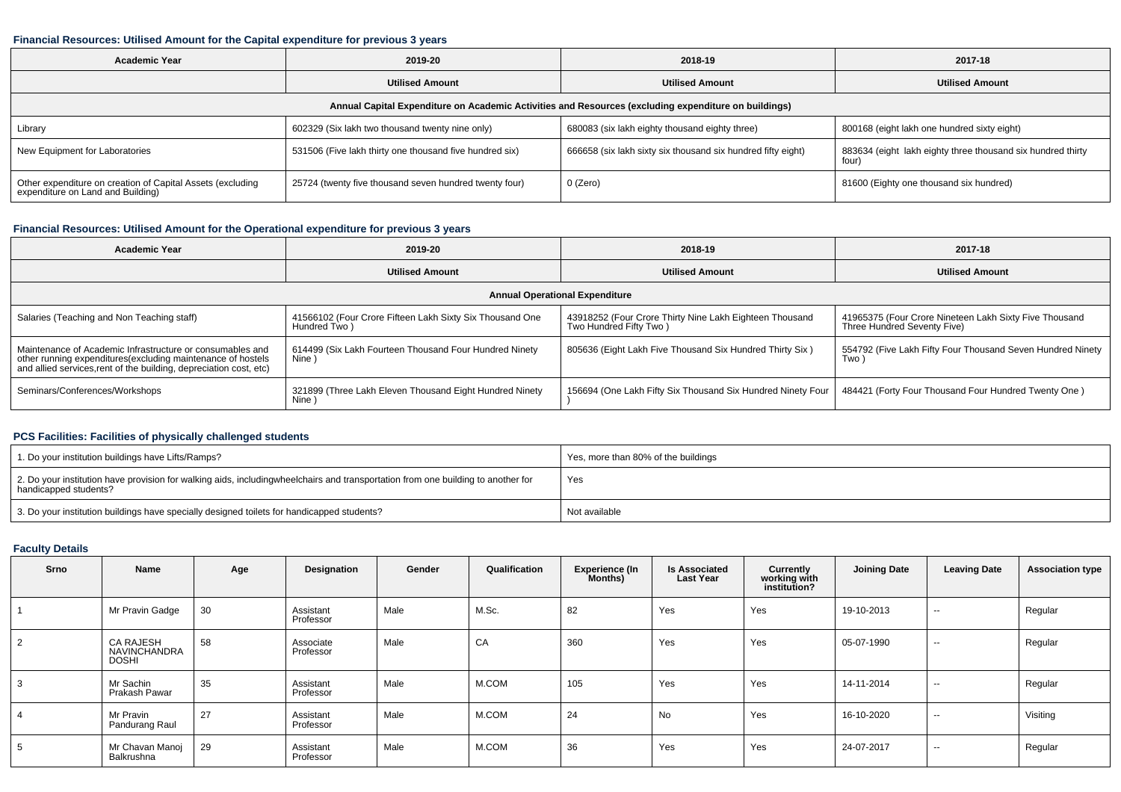### **Financial Resources: Utilised Amount for the Capital expenditure for previous 3 years**

| <b>Academic Year</b>                                                                                 | 2019-20                                                 | 2018-19                                                      | 2017-18                                                              |  |  |  |  |  |  |  |  |  |
|------------------------------------------------------------------------------------------------------|---------------------------------------------------------|--------------------------------------------------------------|----------------------------------------------------------------------|--|--|--|--|--|--|--|--|--|
|                                                                                                      | <b>Utilised Amount</b>                                  | <b>Utilised Amount</b>                                       | <b>Utilised Amount</b>                                               |  |  |  |  |  |  |  |  |  |
| Annual Capital Expenditure on Academic Activities and Resources (excluding expenditure on buildings) |                                                         |                                                              |                                                                      |  |  |  |  |  |  |  |  |  |
| Library                                                                                              | 602329 (Six lakh two thousand twenty nine only)         | 680083 (six lakh eighty thousand eighty three)               | 800168 (eight lakh one hundred sixty eight)                          |  |  |  |  |  |  |  |  |  |
| New Equipment for Laboratories                                                                       | 531506 (Five lakh thirty one thousand five hundred six) | 666658 (six lakh sixty six thousand six hundred fifty eight) | 883634 (eight lakh eighty three thousand six hundred thirty<br>four) |  |  |  |  |  |  |  |  |  |
| Other expenditure on creation of Capital Assets (excluding<br>expenditure on Land and Building)      | 25724 (twenty five thousand seven hundred twenty four)  | 0 (Zero)                                                     | 81600 (Eighty one thousand six hundred)                              |  |  |  |  |  |  |  |  |  |

## **Financial Resources: Utilised Amount for the Operational expenditure for previous 3 years**

| Academic Year                                                                                                                                                                                   | 2019-20                                                                  | 2018-19                                                                           | 2017-18                                                                               |  |  |  |  |  |  |  |  |
|-------------------------------------------------------------------------------------------------------------------------------------------------------------------------------------------------|--------------------------------------------------------------------------|-----------------------------------------------------------------------------------|---------------------------------------------------------------------------------------|--|--|--|--|--|--|--|--|
|                                                                                                                                                                                                 | <b>Utilised Amount</b>                                                   | <b>Utilised Amount</b>                                                            | <b>Utilised Amount</b>                                                                |  |  |  |  |  |  |  |  |
| <b>Annual Operational Expenditure</b>                                                                                                                                                           |                                                                          |                                                                                   |                                                                                       |  |  |  |  |  |  |  |  |
| Salaries (Teaching and Non Teaching staff)                                                                                                                                                      | 41566102 (Four Crore Fifteen Lakh Sixty Six Thousand One<br>Hundred Two) | 43918252 (Four Crore Thirty Nine Lakh Eighteen Thousand<br>Two Hundred Fifty Two) | 41965375 (Four Crore Nineteen Lakh Sixty Five Thousand<br>Three Hundred Seventy Five) |  |  |  |  |  |  |  |  |
| Maintenance of Academic Infrastructure or consumables and<br>other running expenditures (excluding maintenance of hostels<br>and allied services, rent of the building, depreciation cost, etc) | 614499 (Six Lakh Fourteen Thousand Four Hundred Ninety<br>Nine)          | 805636 (Eight Lakh Five Thousand Six Hundred Thirty Six)                          | 554792 (Five Lakh Fifty Four Thousand Seven Hundred Ninety<br>Two)                    |  |  |  |  |  |  |  |  |
| Seminars/Conferences/Workshops                                                                                                                                                                  | 321899 (Three Lakh Eleven Thousand Eight Hundred Ninety<br>Nine)         | 156694 (One Lakh Fifty Six Thousand Six Hundred Ninety Four                       | 484421 (Forty Four Thousand Four Hundred Twenty One)                                  |  |  |  |  |  |  |  |  |

# **PCS Facilities: Facilities of physically challenged students**

| 1. Do your institution buildings have Lifts/Ramps?                                                                                                        | Yes, more than 80% of the buildings |
|-----------------------------------------------------------------------------------------------------------------------------------------------------------|-------------------------------------|
| 2. Do your institution have provision for walking aids, includingwheelchairs and transportation from one building to another for<br>handicapped students? | Yes                                 |
| 3. Do your institution buildings have specially designed toilets for handicapped students?                                                                | Not available                       |

# **Faculty Details**

| Srno | Name                                             | Age | Designation            | Gender | Qualification | <b>Experience (In</b><br>Months) | <b>Is Associated</b><br><b>Last Year</b> | Currently<br>working with<br>institution? | <b>Joining Date</b> | <b>Leaving Date</b> | <b>Association type</b> |
|------|--------------------------------------------------|-----|------------------------|--------|---------------|----------------------------------|------------------------------------------|-------------------------------------------|---------------------|---------------------|-------------------------|
|      | Mr Pravin Gadge                                  | 30  | Assistant<br>Professor | Male   | M.Sc.         | 82                               | Yes                                      | Yes                                       | 19-10-2013          | $\sim$              | Regular                 |
| 2    | <b>CA RAJESH</b><br><b>NAVINCHANDRA</b><br>DOSHI | 58  | Associate<br>Professor | Male   | CA            | 360                              | Yes                                      | Yes                                       | 05-07-1990          | $\sim$              | Regular                 |
|      | Mr Sachin<br>Prakash Pawar                       | 35  | Assistant<br>Professor | Male   | M.COM         | 105                              | Yes                                      | Yes                                       | 14-11-2014          | $\sim$              | Regular                 |
|      | Mr Pravin<br>Pandurang Raul                      | 27  | Assistant<br>Professor | Male   | M.COM         | 24                               | No                                       | Yes                                       | 16-10-2020          | $\sim$              | Visiting                |
|      | Mr Chavan Manoj<br>Balkrushna                    | 29  | Assistant<br>Professor | Male   | M.COM         | 36                               | Yes                                      | Yes                                       | 24-07-2017          | $\sim$              | Regular                 |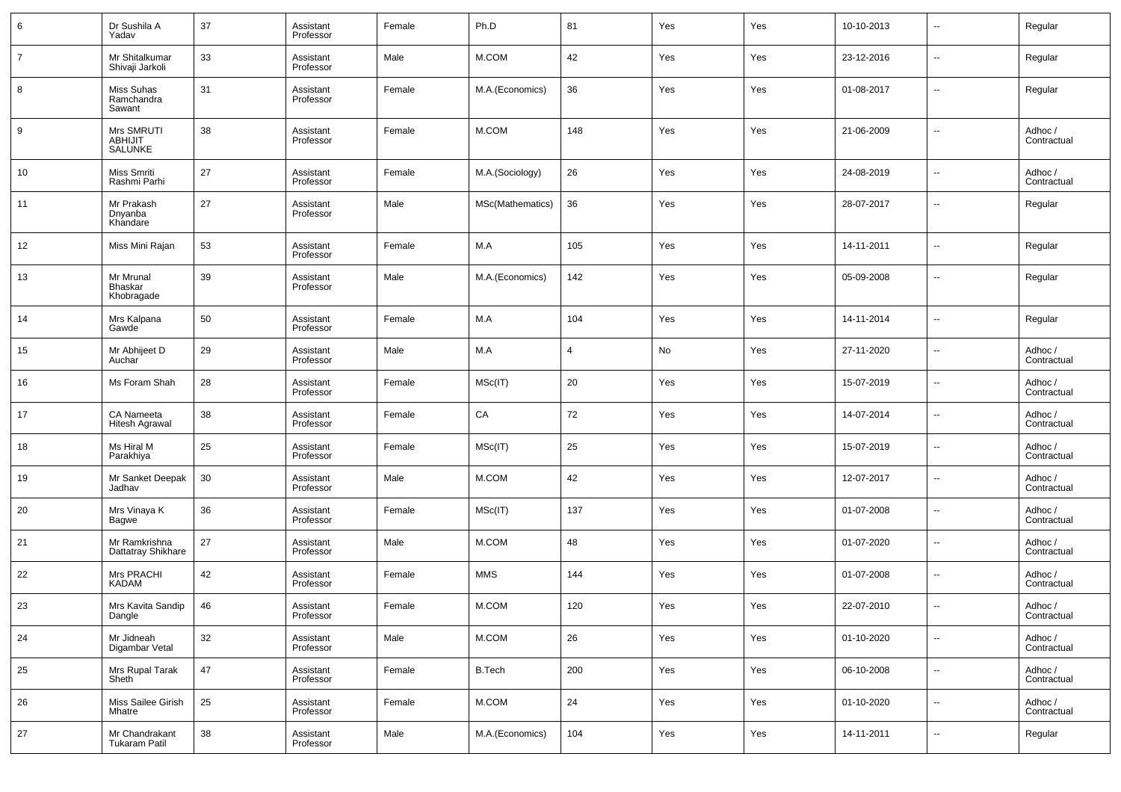| 6              | Dr Sushila A<br>Yadav                  | 37 | Assistant<br>Professor | Female | Ph.D             | 81             | Yes | Yes | 10-10-2013 | $\sim$                   | Regular                |
|----------------|----------------------------------------|----|------------------------|--------|------------------|----------------|-----|-----|------------|--------------------------|------------------------|
| $\overline{7}$ | Mr Shitalkumar<br>Shivaji Jarkoli      | 33 | Assistant<br>Professor | Male   | M.COM            | 42             | Yes | Yes | 23-12-2016 | $\overline{\phantom{a}}$ | Regular                |
| 8              | Miss Suhas<br>Ramchandra<br>Sawant     | 31 | Assistant<br>Professor | Female | M.A.(Economics)  | 36             | Yes | Yes | 01-08-2017 | $\overline{\phantom{a}}$ | Regular                |
| 9              | Mrs SMRUTI<br>ABHIJIT<br>SALUNKE       | 38 | Assistant<br>Professor | Female | M.COM            | 148            | Yes | Yes | 21-06-2009 | ш.                       | Adhoc /<br>Contractual |
| 10             | Miss Smriti<br>Rashmi Parhi            | 27 | Assistant<br>Professor | Female | M.A.(Sociology)  | 26             | Yes | Yes | 24-08-2019 | $\sim$                   | Adhoc /<br>Contractual |
| 11             | Mr Prakash<br>Dnyanba<br>Khandare      | 27 | Assistant<br>Professor | Male   | MSc(Mathematics) | 36             | Yes | Yes | 28-07-2017 | $\overline{a}$           | Regular                |
| 12             | Miss Mini Rajan                        | 53 | Assistant<br>Professor | Female | M.A              | 105            | Yes | Yes | 14-11-2011 | $\overline{a}$           | Regular                |
| 13             | Mr Mrunal<br>Bhaskar<br>Khobragade     | 39 | Assistant<br>Professor | Male   | M.A.(Economics)  | 142            | Yes | Yes | 05-09-2008 | --                       | Regular                |
| 14             | Mrs Kalpana<br>Gawde                   | 50 | Assistant<br>Professor | Female | M.A              | 104            | Yes | Yes | 14-11-2014 | ш.                       | Regular                |
| 15             | Mr Abhijeet D<br>Auchar                | 29 | Assistant<br>Professor | Male   | M.A              | $\overline{4}$ | No  | Yes | 27-11-2020 | ш.                       | Adhoc /<br>Contractual |
| 16             | Ms Foram Shah                          | 28 | Assistant<br>Professor | Female | MSc(IT)          | 20             | Yes | Yes | 15-07-2019 | ш.                       | Adhoc /<br>Contractual |
| 17             | CA Nameeta<br>Hitesh Agrawal           | 38 | Assistant<br>Professor | Female | CA               | 72             | Yes | Yes | 14-07-2014 | ш.                       | Adhoc /<br>Contractual |
| 18             | Ms Hiral M<br>Parakhiya                | 25 | Assistant<br>Professor | Female | MSC(IT)          | 25             | Yes | Yes | 15-07-2019 | ш.                       | Adhoc /<br>Contractual |
| 19             | Mr Sanket Deepak<br>Jadhav             | 30 | Assistant<br>Professor | Male   | M.COM            | 42             | Yes | Yes | 12-07-2017 | ш.                       | Adhoc /<br>Contractual |
| 20             | Mrs Vinaya K<br>Bagwe                  | 36 | Assistant<br>Professor | Female | MSC(IT)          | 137            | Yes | Yes | 01-07-2008 | --                       | Adhoc /<br>Contractual |
| 21             | Mr Ramkrishna<br>Dattatray Shikhare    | 27 | Assistant<br>Professor | Male   | M.COM            | 48             | Yes | Yes | 01-07-2020 | н.                       | Adhoc /<br>Contractual |
| 22             | Mrs PRACHI<br>KADAM                    | 42 | Assistant<br>Professor | Female | <b>MMS</b>       | 144            | Yes | Yes | 01-07-2008 | --                       | Adhoc /<br>Contractual |
| 23             | Mrs Kavita Sandip<br>Dangle            | 46 | Assistant<br>Professor | Female | M.COM            | 120            | Yes | Yes | 22-07-2010 | --                       | Adhoc/<br>Contractual  |
| 24             | Mr Jidneah<br>Digambar Vetal           | 32 | Assistant<br>Professor | Male   | M.COM            | 26             | Yes | Yes | 01-10-2020 | $\overline{\phantom{a}}$ | Adhoc /<br>Contractual |
| 25             | Mrs Rupal Tarak<br>Sheth               | 47 | Assistant<br>Professor | Female | <b>B.Tech</b>    | 200            | Yes | Yes | 06-10-2008 | $\overline{\phantom{a}}$ | Adhoc /<br>Contractual |
| 26             | Miss Sailee Girish<br>Mhatre           | 25 | Assistant<br>Professor | Female | M.COM            | 24             | Yes | Yes | 01-10-2020 | $\overline{\phantom{a}}$ | Adhoc /<br>Contractual |
| 27             | Mr Chandrakant<br><b>Tukaram Patil</b> | 38 | Assistant<br>Professor | Male   | M.A.(Economics)  | 104            | Yes | Yes | 14-11-2011 | $\sim$                   | Regular                |